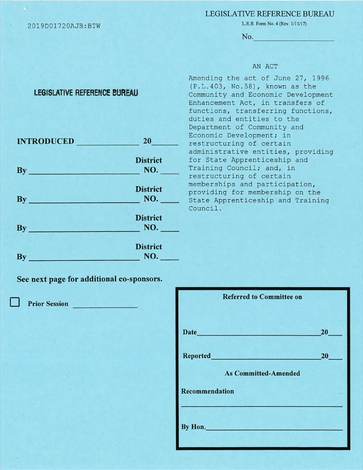#### 20L9D01720AJ8: BTW

## LEGISLATIVE REFERENCE BUREAU

L.R.B. Form No. 4 (Rev. 1/11/17)

No.

### AN ACT

# LEGISLATIVE REFERENCE BUREAU

| <b>INTRODUCED</b>                    | 20 <sub>2</sub>        |
|--------------------------------------|------------------------|
| By                                   | <b>District</b>        |
| <u>de la carta de la carta del c</u> | NO.                    |
| $\mathbf{By}_{-}$                    | <b>District</b>        |
| <u> کا ارائه در امراد است.</u>       | NO.                    |
| <b>By</b>                            | <b>District</b>        |
| an at the distribution in the con-   | NO.                    |
| By                                   | <b>District</b><br>NO. |

Amending the act of June 27, 1996 (P.L. 403, No. 58), known as the Community and Economic Development Enhancement Act, in transfers of functions, transferring functions, duties and entities to the Department of Community and Economic Development; in restructuring of certain administrative entities, providing for State Apprenticeship and Training Council; and, in restructuring of certain memberships and participation, providing for membership on the State Apprenticeship and Training Council-.

See next page for additional co-sponsors.

**Prior Session** 

| <b>Referred to Committee on</b>                                                          |                 |
|------------------------------------------------------------------------------------------|-----------------|
| Date <b>Date Date Date Date Date Date Date Date Date Date Date Date Date Date Date D</b> | 20 <sub>2</sub> |
|                                                                                          | 20 <sub>2</sub> |
| <b>As Committed-Amended</b>                                                              |                 |
| Recommendation                                                                           |                 |
| By Hon.                                                                                  |                 |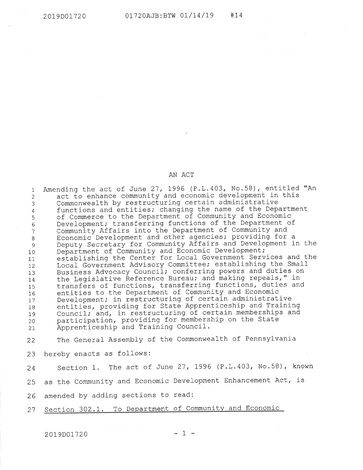#### AN ACT

Amending the act of June 27, 1996 (P.L.403, No.58), entitled "An act to enhance community and economic development in this Commonwealth by restructuring certain administrative functions and entities; changing the name of the Department of Commerce to the Department of Corrununity and Economic Development; transferring functions of the Department of Community Affairs into the Department of Community and Economic Development and other agencies; providing for a Deputy Secretary for Community Affairs and Development in the Department of Community and Economic Development; establishing the Center for Local Government Services and the Local Government Advisory Committee; establishing the Small Business Advocacy Council; conferring powers and duties on the Legislative Reference Bureau; and making repeals," in transfers of functions, transferring functions, duties and entities to the Department of community and Economic Development; in restructuring of certain administrative entities, providing for State Apprenticeship and Training Council; and, in restructuring of certain memberships and participation, providing for membership on the State Apprenticeship and Training Council. 1 2 3 4 5 6 7 o 9 10 11  $12$ 1\_3 I4 15 I6 17 18 T9 20  $21$ 

The General- Assembly of the Commonwealth of Pennsylvania 22

23 hereby enacts as follows:

24 Section 1. The act of June 27, 1996 (P.L.403, No.58), known

25 as the Community and Economic Development Enhancement Act, is

26 amended by adding sections to read:

27 Section 302.1. To Department of Community and Economic

2019D01720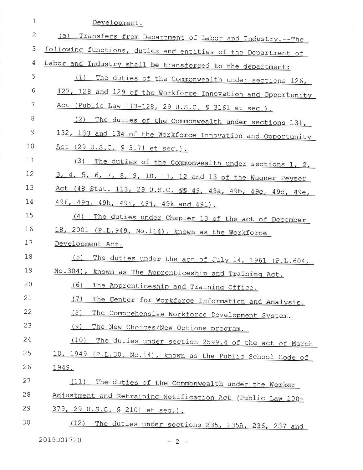| $1\,$        | Development.                                                   |
|--------------|----------------------------------------------------------------|
| $\mathbf{2}$ | (a)<br>Transfers from Department of Labor and Industry. -- The |
| 3            | following functions, duties and entities of the Department of  |
| 4            | Labor and Industry shall be transferred to the department:     |
| 5            | (1)<br>The duties of the Commonwealth under sections 126,      |
| 6            | 127, 128 and 129 of the Workforce Innovation and Opportunity   |
| 7            | Act (Public Law 113-128, 29 U.S.C. § 3161 et seq.).            |
| 8            | (2)<br>The duties of the Commonwealth under sections 131,      |
| 9            | 132, 133 and 134 of the Workforce Innovation and Opportunity   |
| 10           | Act (29 U.S.C. § 3171 et seq.).                                |
| 11           | (3)<br>The duties of the Commonwealth under sections 1, 2,     |
| 12           | 3, 4, 5, 6, 7, 8, 9, 10, 11, 12 and 13 of the Wagner-Peyser    |
| 13           | Act (48 Stat. 113, 29 U.S.C. §§ 49, 49a, 49b, 49c, 49d, 49e,   |
| 14           | 49f, 49g, 49h, 49i, 49j, 49k and 491).                         |
| 15           | (4)<br>The duties under Chapter 13 of the act of December      |
| 16           | 18, 2001 (P.L.949, No.114), known as the Workforce             |
| 17           | Development Act.                                               |
| 18           | (5)<br>The duties under the act of July 14, 1961 (P.L.604,     |
| 19           | No.304), known as The Apprenticeship and Training Act.         |
| 20           | (6)<br>The Apprenticeship and Training Office.                 |
| 21           | (7)<br>The Center for Workforce Information and Analysis.      |
| 22           | (8)<br>The Comprehensive Workforce Development System.         |
| 23           | (9)<br>The New Choices/New Options program.                    |
| 24           | (10)<br>The duties under section 2599.4 of the act of March    |
| 25           | 10, 1949 (P.L.30, No.14), known as the Public School Code of   |
| 26           | <u> 1949.</u>                                                  |
| 27           | (11)<br>The duties of the Commonwealth under the Worker        |
| 28           | Adjustment and Retraining Notification Act (Public Law 100-    |
| 29           | 379, 29 U.S.C. § 2101 et seq.).                                |
| 30           | (12)<br>The duties under sections 235, 235A, 236, 237 and      |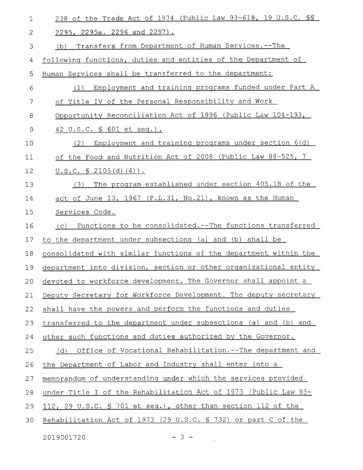| $\mathbf 1$ | 238 of the Trade Act of 1974 (Public Law 93-618, 19 U.S.C. SS     |
|-------------|-------------------------------------------------------------------|
| 2           | 2295, 2295a, 2296 and 2297).                                      |
| 3           | Transfers from Department of Human Services.--The<br>(b)          |
| 4           | following functions, duties and entities of the Department of     |
| 5           | Human Services shall be transferred to the department:            |
| 6           | Employment and training programs funded under Part A<br>(1)       |
| 7           | of Title IV of the Personal Responsibility and Work               |
| 8           | Opportunity Reconciliation Act of 1996 (Public Law 104-193,       |
| 9           | 42 U.S.C. § 601 et seq.).                                         |
| 10          | Employment and training programs under section 6(d)<br>(2)        |
| 11          | of the Food and Nutrition Act of 2008 (Public Law 88-525, 7       |
| 12          | $U.S.C. S 2105(d) (4)$ .                                          |
| 13          | The program established under section 405.1B of the<br>(3)        |
| 14          | act of June 13, 1967 (P.L.31, No.21), known as the Human          |
| 15          | Services Code.                                                    |
| 16          | Functions to be consolidated. -- The functions transferred<br>(C) |
| 17          | to the department under subsections (a) and (b) shall be          |
| 18          | consolidated with similar functions of the department within the  |
| 19          | department into division, section or other organizational entity  |
| 20          | devoted to workforce development. The Governor shall appoint a    |
| 21          | Deputy Secretary for Workforce Development. The deputy secretary  |
| 22          | shall have the powers and perform the functions and duties        |
| 23          | transferred to the department under subsections (a) and (b) and   |
| 24          | other such functions and duties authorized by the Governor.       |
| 25          | Office of Vocational Rehabilitation.--The department and<br>(d)   |
| 26          | the Department of Labor and Industry shall enter into a           |
| 27          | memorandum of understanding under which the services provided     |
| 28          | under Title I of the Rehabilitation Act of 1973 (Public Law 93-   |
| 29          | 112, 29 U.S.C. § 701 et seq.), other than section 112 of the      |
| 30          | Rehabilitation Act of 1973 (29 U.S.C. § 732) or part C of the     |
|             |                                                                   |

2019D01720

 $= 3 -$ 

 $\sim$